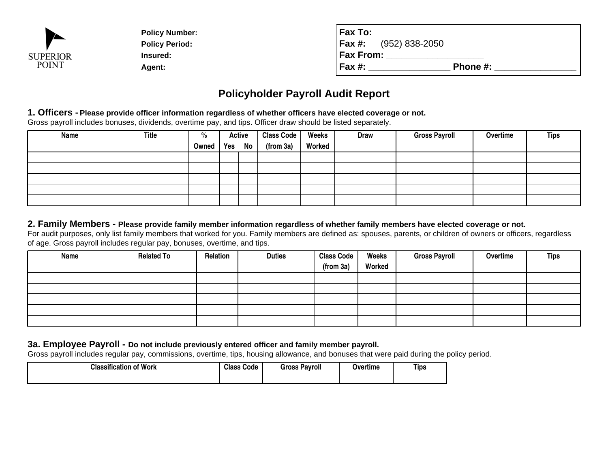

| <b>SUPERIOR</b> | <b>Policy Number:</b><br><b>Policy Period:</b><br>Insured:                                                  | Fax To:<br>$(952) 838 - 2050$<br>Fax #:<br><b>Fax From:</b> |          |  |
|-----------------|-------------------------------------------------------------------------------------------------------------|-------------------------------------------------------------|----------|--|
| <b>POINT</b>    | Agent:                                                                                                      | Fax #:                                                      | Phone #: |  |
|                 |                                                                                                             | <b>Policyholder Payroll Audit Report</b>                    |          |  |
|                 | 1 Officers - Please provide officer information regardless of whether officers have elected coverage or not |                                                             |          |  |

# **Policyholder Payroll Audit Report**

#### **1. Officers - Please provide officer information regardless of whether officers have elected coverage or not.**

Gross payroll includes bonuses, dividends, overtime pay, and tips. Officer draw should be listed separately.

| Name | <b>Title</b> | $\frac{0}{0}$ | <b>Active</b> | Class Code | Weeks  | <b>Draw</b> | <b>Gross Payroll</b> | Overtime | <b>Tips</b> |
|------|--------------|---------------|---------------|------------|--------|-------------|----------------------|----------|-------------|
|      |              | Owned         | Yes No        | (from 3a)  | Worked |             |                      |          |             |
|      |              |               |               |            |        |             |                      |          |             |
|      |              |               |               |            |        |             |                      |          |             |
|      |              |               |               |            |        |             |                      |          |             |
|      |              |               |               |            |        |             |                      |          |             |
|      |              |               |               |            |        |             |                      |          |             |

### **2. Family Members - Please provide family member information regardless of whether family members have elected coverage or not.**

For audit purposes, only list family members that worked for you. Family members are defined as: spouses, parents, or children of owners or officers, regardlessof age. Gross payroll includes regular pay, bonuses, overtime, and tips.

| Name | <b>Related To</b> | Relation | <b>Duties</b> | <b>Class Code</b> | Weeks  | <b>Gross Payroll</b> | Overtime | Tips |
|------|-------------------|----------|---------------|-------------------|--------|----------------------|----------|------|
|      |                   |          |               | (from 3a)         | Worked |                      |          |      |
|      |                   |          |               |                   |        |                      |          |      |
|      |                   |          |               |                   |        |                      |          |      |
|      |                   |          |               |                   |        |                      |          |      |
|      |                   |          |               |                   |        |                      |          |      |
|      |                   |          |               |                   |        |                      |          |      |

## **3a. Employee Payroll - Do not include previously entered officer and family member payroll.**

Gross payroll includes regular pay, commissions, overtime, tips, housing allowance, and bonuses that were paid during the policy period.

| <b>Classification of Work</b> | <b>Class</b><br>Code | <br><b>Fross</b><br><b>Pavroll</b> | Overtime | Tips |
|-------------------------------|----------------------|------------------------------------|----------|------|
|                               |                      |                                    |          |      |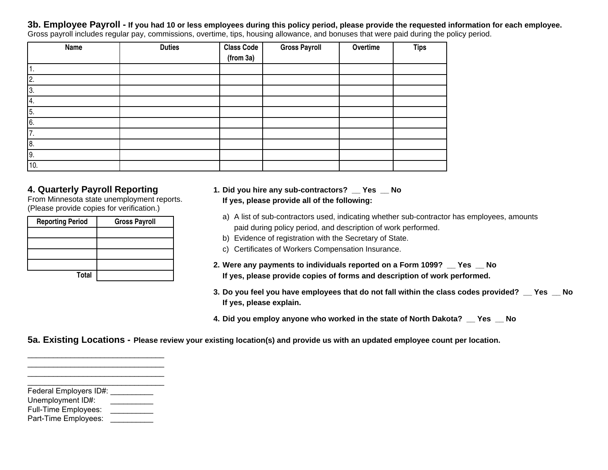**3b. Employee Payroll - If you had 10 or less employees during this policy period, please provide the requested information for each employee.**

| Gross payroll includes regular pay, commissions, overtime, tips, housing allowance, and bonuses that were paid during the policy period. |  |  |  |  |
|------------------------------------------------------------------------------------------------------------------------------------------|--|--|--|--|
|------------------------------------------------------------------------------------------------------------------------------------------|--|--|--|--|

| Name | <b>Duties</b> | <b>Class Code</b> | <b>Gross Payroll</b> | Overtime | <b>Tips</b> |
|------|---------------|-------------------|----------------------|----------|-------------|
|      |               | (from 3a)         |                      |          |             |
| л.   |               |                   |                      |          |             |
| 2.   |               |                   |                      |          |             |
| 3.   |               |                   |                      |          |             |
| 4.   |               |                   |                      |          |             |
| 5.   |               |                   |                      |          |             |
| 6.   |               |                   |                      |          |             |
| 7.   |               |                   |                      |          |             |
| 8.   |               |                   |                      |          |             |
| 9.   |               |                   |                      |          |             |
| 10.  |               |                   |                      |          |             |

## **4. Quarterly Payroll Reporting**

 From Minnesota state unemployment reports.(Please provide copies for verification.)

| <b>Reporting Period</b> | <b>Gross Payroll</b> |
|-------------------------|----------------------|
|                         |                      |
|                         |                      |
|                         |                      |
|                         |                      |
| <b>Total</b>            |                      |

#### **1. Did you hire any sub-contractors? \_\_ Yes \_\_ NoIf yes, please provide all of the following:**

- a) A list of sub-contractors used, indicating whether sub-contractor has employees, amountspaid during policy period, and description of work performed.
- b) Evidence of registration with the Secretary of State.
- c) Certificates of Workers Compensation Insurance.
- **2. Were any payments to individuals reported on a Form 1099? \_\_ Yes \_\_ NoIf yes, please provide copies of forms and description of work performed.**
- **3. Do you feel you have employees that do not fall within the class codes provided? \_\_ Yes \_\_ NoIf yes, please explain.**
- **4. Did you employ anyone who worked in the state of North Dakota? \_\_ Yes \_\_ No**

**5a. Existing Locations - Please review your existing location(s) and provide us with an updated employee count per location.**

Federal Employers ID#: \_\_\_\_\_\_\_\_\_\_\_

Unemployment ID#:\_\_\_\_\_\_\_\_\_\_

\_\_\_\_\_\_\_\_\_\_\_\_\_\_\_\_\_\_\_\_\_\_\_\_\_\_\_\_\_\_\_\_ \_\_\_\_\_\_\_\_\_\_\_\_\_\_\_\_\_\_\_\_\_\_\_\_\_\_\_\_\_\_\_\_ \_\_\_\_\_\_\_\_\_\_\_\_\_\_\_\_\_\_\_\_\_\_\_\_\_\_\_\_\_\_\_\_ \_\_\_\_\_\_\_\_\_\_\_\_\_\_\_\_\_\_\_\_\_\_\_\_\_\_\_\_\_\_\_\_

- Full-Time Employees:
- Part-Time Employees:\_\_\_\_\_\_\_\_\_\_